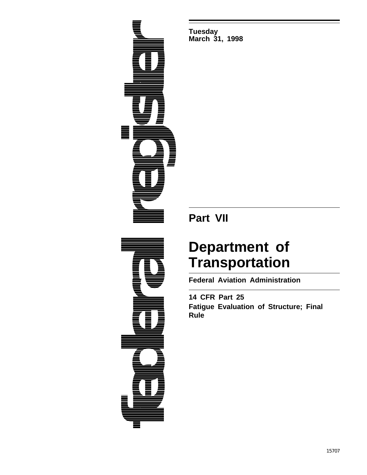

**Tuesday March 31, 1998**

**Part VII**

# **Department of Transportation**

**Federal Aviation Administration**

**14 CFR Part 25 Fatigue Evaluation of Structure; Final Rule**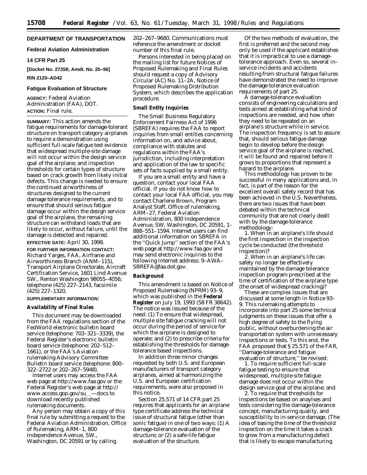# **DEPARTMENT OF TRANSPORTATION**

## **Federal Aviation Administration**

# **14 CFR Part 25**

**[Docket No. 27358; Amdt. No. 25–96] RIN 2120–AD42**

#### **Fatigue Evaluation of Structure**

**AGENCY:** Federal Aviation Administration (FAA), DOT. **ACTION:** Final rule.

**SUMMARY:** This action amends the fatigue requirements for damage-tolerant structure on transport category airplanes to require a demonstration using sufficient full-scale fatigue test evidence that widespread multiple-site damage will not occur within the design service goal of the airplane; and inspection thresholds for certain types of structure based on crack growth from likely initial defects. This change is needed to ensure the continued airworthiness of structures designed to the current damage tolerance requirements, and to ensure that should serious fatigue damage occur within the design service goal of the airplane, the remaining structure can withstand loads that are likely to occur, without failure, until the damage is detected and repaired.

# **EFFECTIVE DATE:** April 30, 1998.

**FOR FURTHER INFORMATION CONTACT:** Richard Yarges, FAA, Airframe and Airworthiness Branch (ANM–115), Transport Airplane Directorate, Aircraft Certification Service, 1601 Lind Avenue SW., Renton Washington 98055–4056; telephone (425) 227–2143, facsimile (425) 227–1320.

# **SUPPLEMENTARY INFORMATION:**

## **Availability of Final Rules**

This document may be downloaded from the FAA regulations section of the FedWorld electronic bulletin board service (telephone: 703–321–3339), the Federal Register's electronic bulletin board service (telephone: 202–512– 1661), or the FAA's Aviation rulemaking Advisory Committee Bulletin board service (telephone: 800– 322–2722 or 202–267–5948).

Internet users may access the FAA web page at http://www.faa.gov or the Federal Register's web page at http:// www.access.gop.gov/su\_\_—docs to download recently published rulemaking documents.

Any person may obtain a copy of this final rule by submitting a request to the Federal Aviation Administration, Office of Rulemaking, ARM–1, 800 Independence Avenue, SW., Washington, DC 20591 or by calling

202–267–9680. Communications must reference the amendment or docket number of this final rule.

Persons interested in being placed on the mailing list for future Notices of Proposed Rulemaking and Final Rules should request a copy of Advisory Circular (AC) No. 11–2A, Notice of Proposed Rulemaking Distribution System, which describes the application procedure.

# **Small Entity Inquiries**

The Small Business Regulatory Enforcement Fairness Act of 1996 (SBREFA) requires the FAA to report inquiries from small entities concerning information on, and advice about, compliance with statutes and regulations within the FAA's jurisdiction, including interpretation and application of the law to specific sets of facts supplied by a small entity.

If you are a small entity and have a question, contact your local FAA official. If you do not know how to contact your local FAA official, you may contact Charlene Brown, Program Analyst Staff, Office of rulemaking, ARM–27, Federal Aviation Administration, 800 Independence Avenue, SW, Washington, DC 20591, 1– 888–551–1594. Internet users can find additional information on SBREFA in the ''Quick Jump'' section of the FAA's web page at http://www.faa.gov and may send electronic inquiries to the following Internet address: 9–AWA– SBREFA@faa.dot.gov.

## **Background**

This amendment is based on Notice of Proposed Rulemaking (NPRM) 93–9, which was published in the **Federal Register** on July 19, 1993 (58 FR 38642). The notice was issued because of the need: (1) To ensure that widespread, multiple site fatigue cracking will not occur during the period of service for which the airplane is designed to operate; and (2) to prescribe criteria for establishing the thresholds for damagetolerance based inspections.

In addition three minor changes requested by both U.S. and European manufacturers of transport category airplanes, aimed at harmonizing the U.S. and European certification requirements, were also proposed in this notice.

Section 25.571 of 14 CFR part 25 requires that applicants for an airplane type certificate address the technical issue of structural fatigue (other than sonic fatigue) in one of two ways: (1) A damage-tolerance evaluation of the structure; or (2) a safe-life fatigue evaluation of the structure.

Of the two methods of evaluation, the first is preferred and the second may only be used if the applicant establishes that it is impractical to use a damagetolerance approach. Even so, several inservice incidents and accidents resulting from structural fatigue failures have demonstrated the need to improve the damage-tolerance evaluation requirements of part 25.

A damage-tolerance evaluation consists of engineering calculations and tests aimed at establishing what kind of inspections are needed, and how often they need to be repeated on an airplane's structure while in service. The inspection frequency is set to assure that, should serious fatigue damage begin to develop before the design service goal of the airplane is reached, it will be found and repaired before it grows to proportions that represent a hazard to the airplane.

This methodology has proven to be successful in many applications and, in fact, is part of the reason for the excellent overall safety record that has been achieved in the U.S. Nevertheless, there are two issues that have been debated within the technical community that are not clearly dealt with by the damage-tolerance methodology:

1. When in an airplane's life should the first inspection in the inspection cycle be conducted (the threshold inspection)?

2. When in an airplane's life can safety no longer be effectively maintained by the damage tolerance inspection program prescribed at the time of certification of the airplane type (the onset of widespread cracking)?

These are complex issues that are discussed at some length in Notice 93– 9. This rulemaking attempts to incorporate into part 25 some technical judgments on these issues that offer a high degree of safety to the flying public, without overburdening the air transportation system with unnecessary inspections or tests. To this end, the FAA proposed that § 25.571 of the FAR, ''Damage-tolerance and fatigue evaluation of structure,'' be revised:

1. To require sufficient full-scale fatigue testing to ensure that widespread, multiple-site fatigue damage does not occur within the design service goal of the airplane; and

2. To require that thresholds for inspections be based on anaylses and tests considering the damage-tolerance concept, manufacturing quality, and susceptibility to in-service damage. (The idea of basing the time of the threshold inspection on the time it takes a crack to grow from a manufacturing defect that is likely to escape manufacturing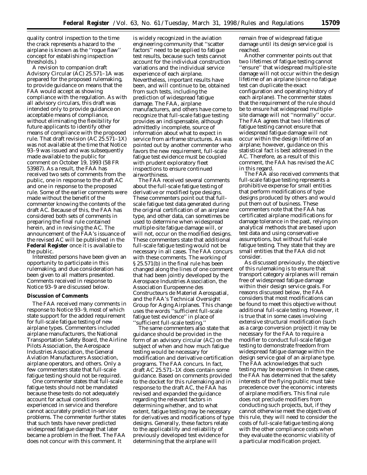quality control inspection to the time the crack represents a hazard to the airplane is known as the ''rogue flaw'' concept for establishing inspection thresholds.)

A revision to companion draft Advisory Circular (AC) 25.571–1A was prepared for the proposed rulemaking, to provide guidance on means that the FAA would accept as showing compliance with the regulation. As with all advisory circulars, this draft was intended only to provide guidance on acceptable means of compliance, without eliminating the flexibility for future applicants to identify other means of compliance with the proposed rule. That draft revision (AC 25.571–1X) was not available at the time that Notice 93–9 was issued and was subsequently made available to the public for comment on October 19, 1993 (58 FR 53987). As a result, the FAA has received two sets of comments from the public, one in response to the draft AC and one in response to the proposed rule. Some of the earlier comments were made without the benefit of the commenter knowing the contents of the draft AC. Because of this, the FAA has considered both sets of comments in preparing the final rule contained herein, and in revising the AC. The announcement of the FAA's issuance of the revised AC will be published in the **Federal Register** once it is available to the public.

Interested persons have been given an opportunity to participate in this rulemaking, and due consideration has been given to all matters presented. Comments received in response to Notice 93–9 are discussed below.

# **Discussion of Comments**

The FAA received many comments in response to Notice 93–9, most of which state support for the added requirement for full-scale fatigue testing of new airplane types. Commenters included airplane manufacturers, the National Transportation Safety Board, the Airline Pilots Association, the Aerospace Industries Association, the General Aviation Manufacturers Association, airplane operators, and others. Only a few commenters state that full-scale fatigue testing should not be required.

One commenter states that full-scale fatigue tests should not be mandated because these tests do not adequately account for actual conditions experienced in service and therefore cannot accurately predict in-service problems. The commenter further states that such tests have never predicted widespread fatigue damage that later became a problem in the fleet. The FAA does not concur with this comment. It

is widely recognized in the aviation engineering community that ''scatter factors'' need to be applied to fatigue test results, because such tests cannot account for the individual construction variations and the individual service experience of each airplane. Nevertheless, important results have been, and will continue to be, obtained from such tests, including the prediction of widespread fatigue damage. The FAA, airplane manufacturers, and others have come to recognize that full-scale fatigue testing provides an indispensable, although admittedly incomplete, source of information about what to expect in service from airframe structures. As was pointed out by another commenter who favors the new requirement, full-scale fatigue test evidence must be coupled with prudent exploratory fleet inspections to ensure continued airworthiness.

The FAA received several comments about the full-scale fatigue testing of derivative or modified type designs. These commenters point out that fullscale fatigue test data generated during the original certification of an airplane type, and other data, can sometimes be used to determine when widespread multiple-site fatigue damage will, or will not, occur on the modified designs. These commenters state that additional full-scale fatigue testing would not be necessary in all cases. The FAA concurs with these comments. The working of § 25.571(b) in the final rule has been changed along the lines of one comment that had been jointly developed by the Aerospace Industries Association, the Association Europeenne des Constructeurs de Materiel Aerospatial, and the FAA's Technical Oversight Group for Aging Airplanes. This change uses the words ''sufficient full-scale fatigue test evidence'' in place of ''sufficient full-scale testing.''

The same commenters also state that guidance should be provided in the form of an advisory circular (AC) on the subject of when and how much fatigue testing would be necessary for modification and derivative certification programs. The FAA concurs. In fact, draft AC 25.571–1X does contain some guidance. Based on comments provided to the docket for this rulemaking and in response to the draft AC, the FAA has revised and expanded the guidance regarding the relevant factors in determining whether, and to what extent, fatigue testing may be necessary for derivatives and modifications of type designs. Generally, these factors relate to the applicability and reliability of previously developed test evidence for determining that the airplane will

remain free of widespread fatigue damage until its design service goal is reached.

Another commenter points out that two lifetimes of fatigue testing cannot ''ensure'' that widespread multiple-site damage will not occur within the design lifetime of an airplane (since no fatigue test can duplicate the exact configuration and operating history of each airplane). The commenter states that the requirement of the rule should be to ensure hat widespread multiplesite damage will not ''normally'' occur. The FAA agrees that two lifetimes of fatigue testing cannot ensure that widespread fatigue damage will not occur within the design lifetime of an airplane; however, guidance on this statistical fact is best addressed in the AC. Therefore, as a result of this comment, the FAA has revised the AC in this regard.

The FAA also received comments that full-scale fatigue testing represents a prohibitive expense for small entities that perform modifications of type designs produced by others and would put them out of business. These commenters note that the FAA has certificated airplane modifications for damage tolerance in the past, relying on analytical methods that are based upon test data and using conservative assumptions, but without full-scale fatigue testing. They state that they are small entities that the FAA did not consider.

As discussed previously, the objective of this rulemaking is to ensure that transport category airplanes will remain free of widespread fatigue damage within their design service goals. For reasons discussed below, the FAA considers that most modifications can be found to meet this objective without additional full-scale testing. However, it is true that in some cases involving extensive structural modification (such as a cargo conversion project) it may be necessary for the FAA to require a modifier to conduct full-scale fatigue testing to demonstrate freedom from widespread fatigue damage within the design service goal of an airplane type. The FAA acknowledges that such testing may be expensive. In these cases, the FAA has determined that the safety interests of the flying public must take precedence over the economic interests of airplane modifiers. This final rule does not preclude modifiers from conducting such projects, but, if they cannot otherwise meet the objectives of this rule, they will need to consider the costs of full-scale fatigue testing along with the other compliance costs when they evaluate the economic viability of a particular modification project.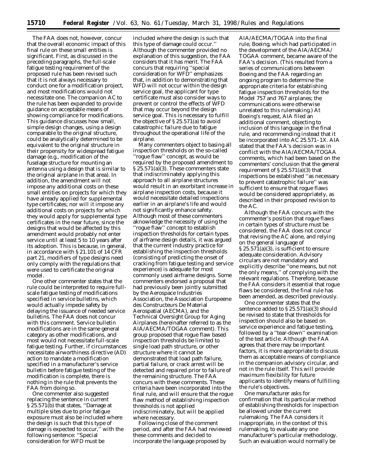The FAA does not, however, concur that the overall economic impact of this final rule on these small entities is significant. First, as discussed in the preceding paragraphs, the full-scale fatigue testing requirement of the proposed rule has been revised such that it is not always necessary to conduct one for a modification project, and most modifications would not necessitate one. The companion AC to the rule has been expanded to provide guidance on acceptable means of showing compliance for modifications. This guidance discusses how small, simple design changes, using a design comparable to the original structure, could be analytically determined to be equivalent to the original structure in their propensity for widespread fatigue damage (e.g., modification of the fuselage structure for mounting an antenna using a design that is similar to the original airplane in that area). In addition, the amendment will not impose any additional costs on these small entities on projects for which they have already applied for supplemental type certificates; nor will it impose any additional costs on projects for which they would apply for supplemental type certificates in the near future, since the designs that would be affected by this amendment would probably not enter service until at least 5 to 10 years after its adoption. This is because, in general, in accordance with § 21.101 of 14 CFR part 21, modifiers of type designs need only comply with the regulations that were used to certificate the original model.

One other commenter states that the rule could be interpreted to require fullscale fatigue testing of modifications specified in service bulletins, which would actually impede safety by delaying the issuance of needed service bulletins. The FAA does not concur with this comment. Service bulletin modifications are in the same general category as other modifications, and most would not necessitate full-scale fatigue testing. Further, if circumstances necessitate airworthiness directive (AD) action to mandate a modification specified in a manufacturer's service bulletin before fatigue testing of the modification is complete, there is nothing in the rule that prevents the FAA from doing so.

One commenter also suggested replacing the sentence in current § 25.571(b) that states, ''Damage at multiple sites due to prior fatigue exposure must also be included where the design is such that this type of damage is expected to occur,'' with the following sentence: ''Special consideration for WFD must be

included where the design is such that this type of damage could occur.'' Although the commenter provided no explanation of this suggestion, the FAA considers that it has merit. The FAA concurs that requiring ''special consideration for WFD'' emphasizes that, in addition to demonstrating that WFD will not occur within the design service goal, the applicant for type certificate must also consider ways to prevent or control the effects of WFD that may occur beyond the design service goal. This is necessary to fulfill the objective of § 25.571(a) to avoid catastrophic failure due to fatigue throughout the operational life of the airplane.

Many commenters object to basing all inspection thresholds on the so-called ''rogue flaw'' concept, as would be required by the proposed amendment to § 25.571(a)(3). These commenters state that indiscriminately applying this approach to all airplane structures would result in an exorbitant increase in airplane inspection costs, because it would necessitate detailed inspections earlier in an airplane's life and would not significantly enhance safety. Although most of these commenters aknowledge the necessity of using the 'rogue flaw'' concept to establish inspection thresholds for certain types of airframe design details, it was argued that the current industry practice for establishing the inspection thresholds (consisting of predicting the onset of cracking from fatigue testing and service experience) is adequate for most commonly used airframe designs. Some commenters endorsed a proposal that had previously been jointly submitted by the Aerospace Industries Association, the Association Europeene des Constructeurs De Material Aerospatial (AECMA), and the Technical Oversight Group for Aging Airplanes (hereinafter referred to as the AIA/AECMA/TOGAA comment). This group proposed that rogue flaw based inspection thresholds be limited to single load path structure, or other structure where it cannot be demonstrated that load path failure, partial failure, or crack arrest will be detected and repaired prior to failure of the remaining structure. The FAA concurs with these comments. These criteria have been incorporated into the final rule, and will ensure that the rogue flaw method of establishing inspection thresholds is not applied indiscriminately, but will be applied where necessary.

Following close of the comment period, and after the FAA had reviewed these comments and decided to incorporate the language proposed by

AIA/AECMA/TOGAA into the final rule, Boeing, which had participated in the development of the AIA/AECMA/ TOGAA comment, became aware of the FAA's decision. (This resulted from a series of communications between Boeing and the FAA regarding an ongoing program to determine the appropriate criteria for establishing fatigue inspection thresholds for the Model 757 and 767 airplanes; the communications were otherwise unrelated to this rulemaking.) At Boeing's request, AIA filed an additional comment, objecting to inclusion of this language in the final rule, and recommending instead that it be incorporated into AC 25.571–1X. AIA stated that the FAA's decision was in conflict with the AIA/AECMA/TOGAA comments, which had been based on the commenters' conclusion that the general requirement of  $\S 25.571(a)(3)$  that inspections be established ''as necessary to prevent catastrophic failure'' was sufficient to ensure that rogue flaws would be considered appropriately, as described in their proposed revision to the AC.

Although the FAA concurs with the commenter's position that rogue flaws in certain types of structure must be considered, the FAA does not concur that revising the AC alone, and relying on the general language of § 25.571(a)(3), is sufficient to ensure adequate consideration. Advisory circulars are not mandatory and explicitly describe ''one means, but not the only means,'' of complying with the relevant regulations. Therefore, because the FAA considers it essential that rogue flaws be considered, the final rule has been amended, as described previously.

One commenter states that the sentence added to § 25.571(a)(3) should be revised to state that thresholds for inspection should also be based on service experience and fatigue testing, followed by a ''tear-down'' examination of the test article. Although the FAA agrees that there may be important factors, it is more appropriate to discuss them as acceptable means of compliance in the companion advisory circular, and not in the rule itself. This will provide maximum flexibility for future applicants to identify means of fulfilling the rule's objectives.

One manufacturer asks for confirmation that its particular method of establishing thresholds for inspection be allowed under the current rulemaking. The FAA considers it inappropriate, in the context of this rulemaking, to evaluate any one manufacturer's particular methodology. Such an evaluation would normally be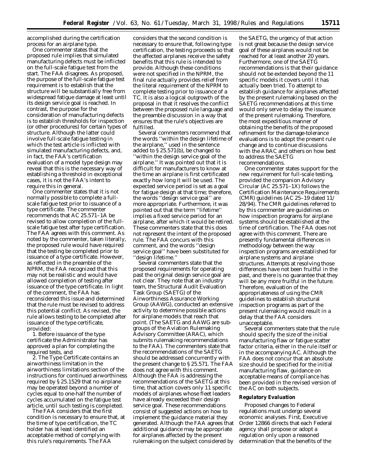accomplished during the certification process for an airplane type.

One commenter states that the proposed rule implies that simulated manufacturing defects must be inflicted on the full-scale fatigue test from the start. The FAA disagrees. As proposed, the purpose of the full-scale fatigue test requirement is to establish that the structure will be substantially free from widespread fatigue damage at least until its design service goal is reached. In contrast, the purpose for the consideration of manufacturing defects is to establish thresholds for inspection (or other procedures) for certain types of structure. Although the latter could involve full-scale fatigue testing in which the test article is inflicted with simulated manufacturing defects, and, in fact, the FAA's certification evaluation of a model type design may reveal that this is the necessary way of establishing a threshold in exceptional cases, it is not the FAA's intent to require this in general.

One commenter states that it is not normally possible to complete a fullscale fatigue test prior to issuance of a type certificate. The commenter recommends that AC 25.571–1A be revised to allow completion of the fullscale fatigue test after type certification. The FAA agrees with this comment. As noted by the commenter, taken literally, the proposed rule would have required that the testing be completed prior to issuance of a type certificate. However, as reflected in the preamble of the NPRM, the FAA recognized that this may not be realistic and would have allowed completion of testing after issuance of the type certificate. In light of the comment, the FAA has reconsidered this issue and determined that the rule must be revised to address this potential conflict. As revised, the rule allows testing to be completed after issuance of the type certificate, provided:

1. Before issuance of the type certificate the Administrator has approved a plan for completing the required tests, and

2. The Type Certificate contains an airworthiness limitation in the airworthiness limitations section of the instructions for continued airworthiness required by § 25.1529 that no airplane may be operated beyond a number of cycles equal to one-half the number of cycles accumulated on the fatigue test article, until such testing is completed.

The FAA considers that the first condition is necessary to ensure that, at the time of type certification, the TC holder has at least identified an acceptable method of complying with this rule's requirements. The FAA

considers that the second condition is necessary to ensure that, following type certification, the testing proceeds so that the affected airplanes receive the safety benefits that this rule is intended to provide. Although these conditions were not specified in the NPRM, the final rule actually provides relief from the literal requirement of the NPRM to complete testing prior to issuance of a TC. It is also a logical outgrowth of the proposal in that it resolves the conflict between the proposed rule language and the preamble discussion in a way that ensures that the rule's objectives are fulfilled.

Several commenters recommend that the words ''within the design lifetime of the airplane,'' used in the sentence added to § 25.571(b), be changed to ''within the design service goal of the airplane.'' It was pointed out that it is difficult for manufacturers to know at the time an airplane is first certificated exactly how long it will be used. The expected service period is set as a goal for fatigue design at that time; therefore, the words ''design service goal'' are more appropriate. Furthermore, it was pointed out that the term ''lifetime'' implies a fixed service period for an airplane, after which it would be retired. These commenters state that this does not represent the intent of the proposed rule. The FAA concurs with this comment, and the words ''design service goal'' have been substituted for ''design lifetime.''

Several commenters state that the proposed requirements for operating past the original design service goal are not clear. They note that an industry team, the Structural Audit Evaluation Task Group (SAETG) of the Airworthiness Assurance Working Group (AAWG), conducted an extensive activity to determine possible actions for airplane models that reach that point. (The SAETG and AAWG are subgroups of the Aviation Rulemaking Advisory Committee (ARAC), which submits rulemaking recommendations to the FAA). The commenters state that the recommendations of the SAETG should be addressed concurrently with the present change to § 25.571. The FAA does not agree with this comment. Although the FAA is addressing the recommendations of the SAETG at this time, that action covers only 11 specific models of airplanes whose fleet leaders have already exceeded their design service goal. These recommendations consist of suggested actions on how to implement the guidance material they generated. Although the FAA agrees that additional guidance may be appropriate for airplanes affected by the present rulemaking on the subject considered by

the SAETG, the urgency of that action is not great because the design service goal of these airplanes would not be reached for at least another 20 years. Furthermore, one of the SAETG recommendations is that their guidance should not be extended beyond the 11 specific models it covers until it has actually been tried. To attempt to establish guidance for airplanes affected by the present rulemaking based on the SAETG recommendations at this time would only serve to delay the issuance of the present rulemaking. Therefore, the most expeditious manner of obtaining the benefits of the proposed refinement for the damage-tolerance evaluations is to adopt the present rule change and to continue discussions with the ARAC and others on how best to address the SAETG recommendations.

One commenter states support for the new requirement for full-scale testing, provided the companion Advisory Circular (AC 25.571–1X) follows the Certification Maintenance Requirements (CMR) guidelines (AC 25–19 dated 11/ 28/94). The CMR guidelines referred to by this commenter are guidelines on how inspection programs for airplane systems should be established at the time of certification. The FAA does not agree with this comment. There are presently fundamental differences in methodology between the way inspection programs are established for airplane systems and airplane structures. Attempts at resolving those differences have not been fruitful in the past, and there is no guarantee that they will be any more fruitful in the future. Therefore, evaluation of the appropriateness of using the CMR guidelines to establish structural inspection programs as part of the present rulemaking would result in a delay that the FAA considers unacceptable.

Several commenters state that the rule should specify the size of the initial manufacturing flaw or fatigue scatter factor criteria, either in the rule itself or in the accompanying AC. Although the FAA does not concur that an absolute size should be specified for the initial manufacturing flaw, guidance on acceptable means of compliance has been provided in the revised version of the AC on both subjects.

# **Regulatory Evaluation**

Proposed changes to Federal regulations must undergo several economic analyses. First, Executive Order 12866 directs that each Federal agency shall propose or adopt a regulation only upon a reasoned determination that the benefits of the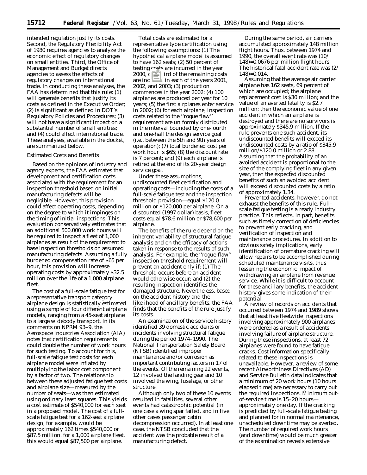intended regulation justify its costs. Second, the Regulatory Flexibility Act of 1980 requires agencies to analyze the economic effect of regulatory changes on small entities. Third, the Office of Management and Budget directs agencies to assess the effects of regulatory changes on international trade. In conducting these analyses, the FAA has determined that this rule: (1) will generate benefits that justify its costs as defined in the Executive Order; (2) is significant as defined in DOT's Regulatory Policies and Procedures; (3) will not have a significant impact on a substantial number of small entities; and (4) could affect international trade. These analyses, available in the docket, are summarized below.

### *Estimated Costs and Benefits*

Based on the opinions of industry and agency experts, the FAA estimates that development and certification costs associated with the requirement for an inspection threshold based on initial manufacturing defects will be negligible. However, this provision could affect operating costs, depending on the degree to which it impinges on the timing of initial inspections. This evaluation conservatively estimates that an additional 500,000 work hours will be required to inspect a fleet of 1,000 airplanes as result of the requirement to base inspection thresholds on assumed manufacturing defects. Assuming a fully burdened compensation rate of \$65 per hour, this provision will increase operating costs by approximately \$32.5 million over the life of a 1,000 airplane fleet.

The cost of a full-scale fatigue test for a representative transport category airplane design is statistically estimated using a sample of four different airplane models, ranging from a 45-seat airplane to a large widebody transport. In its comments on NPRM 93–9, the Aerospace Industries Association (AIA) notes that certification requirements could double the number of work hours for such testing. To account for this, full-scale fatigue test costs for each airplane model were inflated by multiplying the labor cost component by a factor of two. The relationship between these adjusted fatigue test costs and airplane size—measured by the number of seats—was then estimated using ordinary least squares. This yields a cost estimate of \$540,000 for each seat in a proposed model. The cost of a fullscale fatigue test for a 162-seat airplane design, for example, would be approximately 162 times \$540,000 or \$87.5 million. for a 1,000 airplane fleet, this would equal \$87,500 per airplane.

Total costs are estimated for a representative type certification using the following assumptions: (1) The hypothetical airplane model is assumed to have 162 seats; (2) 50 percent of testing costs are incurred in the year 2000, one-third of the remaining costs are incurred in each of the years 2001, 2002, and 2003; (3) production commences in the year 2002; (4) 100 airplanes are produced per year for 10 years; (5) the first airplanes enter service in 2002; (6) for each airplane, inspection costs related to the ''rogue flaw'' requirement are uniformly distributed in the interval bounded by one-fourth and one-half the design service goal (i.e., between the 5th and 9th years of operation); (7) total burdened cost per work hour is \$65; (8) the discount rate is 7 percent; and (9) each airplane is retired at the end of its 20-year design service goal.

Under these assumptions, undiscounted fleet certification and operating costs—including the costs of a full-scale fatigue test and the inspection threshold provision—equal \$120.0 million or \$120,000 per airplane. On a discounted (1997 dollar) basis, fleet costs equal \$78.6 million or \$78,600 per airplane.

The benefits of the rule depend on the inherent variability of structural fatigue analysis and on the efficacy of actions taken in response to the results of such analysis. For example, the ''rogue-flaw'' inspection threshold requirement will prevent an accident only if: (1) The threshold occurs before an accident would otherwise occur; and (2) the resulting inspection identifies the damaged structure. Nevertheless, based on the accident history and the likelihood of ancillary benefits, the FAA finds that the benefits of the rule justify its costs.

An examination of the service history identified 39 domestic accidents or incidents involving structural fatigue during the period 1974–1990. The National Transportation Safety Board (NTSB) identified improper maintenance and/or corrosion as important contributing factors in 17 of the events. Of the remaining 22 events, 12 involved the landing gear and 10 involved the wing, fuselage, or other structure.

Although only two of these 10 events resulted in fatalities, several other events had catastrophic potential (in one case a wing spar failed, and in five other cases passenger cabin decompression occurred). In at least one case, the NTSB concluded that the accident was the probable result of a manufacturing defect.

During the same period, air carriers accumulated approximately 148 million flight hours. Thus, between 1974 and 1990, the overall event rate was (10/ 148)=0.0676 per million flight hours. The historical fatal accident rate was (2/ 148)=0.014.

Assuming that the average air carrier airplane has 162 seats, 69 percent of which are occupied; the airplane replacement cost is \$30 million; and the value of an averted fatality is \$2.7 million; then the economic value of one accident in which an airplane is destroyed and there are no survivors is approximately \$345.9 million. If the rule prevents one such accident, its undiscounted benefits will exceed its undiscounted costs by a ratio of \$345.9 million/\$120.0 million or 2.88. Assuming that the probability of an avoided accident is proportional to the size of the complying fleet in any given year, then the expected discounted benefits of such an avoided accident will exceed discounted costs by a ratio of approximately 1.34.

Prevented accidents, however, do not exhaust the benefits of this rule. Fullscale fatigue testing is already industry practice. This reflects, in part, benefits such as timely correction of deficiencies to prevent early cracking, and verification of inspection and maintenance procedures. In addition to obvious safety implications, early identification of premature cracking will allow repairs to be accomplished during scheduled maintenance visits, thus lessening the economic impact of withdrawing an airplane from revenue service. While it is difficult to account for these ancillary benefits, the accident history gives some indication of their potential.

A review of records on accidents that occurred between 1974 and 1989 shows that at least five fleetwide inspections involving approximately 900 airplanes were ordered as a result of accidents involving failure of airplane structure. During these inspections, at least 72 airplanes were found to have fatigue cracks. Cost information specifically related to these inspections is unavailable. However, a review of some recent Airworthiness Directives (AD) and Service Bulletin data indicates that a minimum of 20 work hours (10 hours elapsed time) are necessary to carry out the required inspections. Minimum outof-service time is 15–20 hours approximately one day. If the cracking is predicted by full-scale fatigue testing and planned for in normal maintenance, unscheduled downtime may be averted. The number of required work hours (and downtime) would be much greater of the examination reveals extensive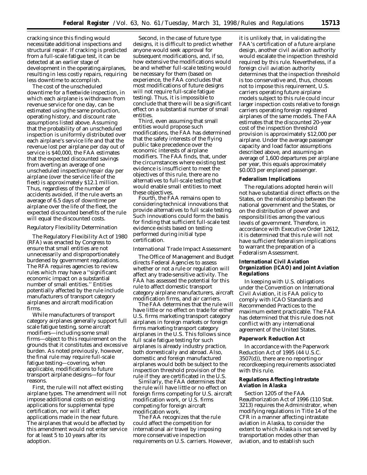cracking since this finding would necessitate additional inspections and structural repair. If cracking is predicted from a full-scale fatigue test, it can be detected at an earlier stage of development in the operating airplanes, resulting in less costly repairs, requiring less downtime to accomplish.

The cost of the unscheduled downtime for a fleetwide inspection, in which each airplane is withdrawn from revenue service for one day, can be estimated using the same production, operating history, and discount rate assumptions listed above. Assuming that the probability of an unscheduled inspection is uniformly distributed over each airplane's service life and that the revenue lost per airplane per day out of service is \$40,000, the FAA estimates that the expected discounted savings from averting an average of one unscheduled inspection/repair day per airplane (over the service life of the fleet) is approximately \$12.1 million. Thus, regardless of the number of accidents avoided, if the rule averts an average of 6.5 days of downtime per airplane over the life of the fleet, the expected discounted benefits of the rule will equal the discounted costs.

#### *Regulatory Flexibility Determination*

The Regulatory Flexibility Act of 1980 (RFA) was enacted by Congress to ensure that small entities are not unnecessarily and disproportionately burdened by government regulations. The RFA requires agencies to review rules which may have a ''significant economic impact on a substantial number of small entities.'' Entities potentially affected by the rule include manufacturers of transport category airplanes and aircraft modification firms.

While manufacturers of transport category airplanes generally support full scale fatigue testing, some aircraft modifiers—including some small firms—object to this requirement on the grounds that it constitutes and excessive burden. As noted previously, however, the final rule may require full-scale fatigue testing—covering, when applicable, modifications to future transport airplane designs—for four reasons.

First, the rule will not affect existing airplane types. The amendment will not impose additional costs on existing applications for supplemental type certification, nor will it affect applications made in the near future. The airplanes that would be affected by this amendment would not enter service for at least 5 to 10 years after its adoption.

Second, in the case of future type designs, it is difficult to predict whether anyone would seek approval for subsequent modifications, and, if so, how extensive the modifications would be and whether full-scale testing would be necessary for them (based on experience, the FAA concludes that most modifications of future designs will not require full-scale fatigue testing). Thus, it is impossible to conclude that there will be a significant effect on a substantial number of small entities.

Third, even assuming that small entities would propose such modifications, the FAA has determined that the safety interests of the flying public take precedence over the economic interests of airplane modifiers. The FAA finds, that, under the circumstances where existing test evidence is insufficient to meet the objectives of this rule, there are no alternatives to full-scale testing that would enable small entities to meet these objectives.

Fourth, the FAA remains open to considering technical innovations that provide alternatives to full scale testing. Such innovations could form the basis for finding that sufficient full-scale test evidence exists based on testing performed during initial type certification.

#### *International Trade Impact Assessment*

The Office of Management and Budget directs Federal Agencies to assess whether or not a rule or regulation will affect any trade-sensitive activity. The FAA has assessed the potential for this rule to affect domestic transport category airplane manufacturers, aircraft modification firms, and air carriers.

The FAA determines that the rule will have little or no effect on trade for either U.S. firms marketing transport category airplanes in foreign markets or foreign firms marketing transport category airplanes in the U.S. This follows since full scale fatigue testing for such airplanes is already industry practice, both domestically and abroad. Also, domestic and foreign manufactured airplanes would both be subject to the inspection threshold provision of the rule if they are certificated in the U.S.

Similarly, the FAA determines that the rule will have little or no effect on foreign firms competing for U.S. aircraft modification work, or U.S. firms competing for foreign aircraft modification work.

The FAA recognizes that the rule could affect the competition for international air travel by imposing more conservative inspection requirements on U.S. carriers. However,

it is unlikely that, in validating the FAA's certification of a future airplane design, another civil aviation authority would escalate the inspection threshold required by this rule. Nevertheless, if a foreign civil aviation authority determines that the inspection threshold is too conservative and, thus, chooses not to impose this requirement, U.S. carriers operating future airplane models subject to this rule could incur larger inspection costs relative to foreign carriers operating foreign registered airplanes of the same models. The FAA estimates that the discounted 20-year cost of the inspection threshold provision is approximately \$12,000 per airplane. Under the average passenger capacity and load factor assumptions described above, and assuming an average of 1,600 departures per airplane per year, this equals approximately \$0.003 per enplaned passenger.

#### **Federalism Implications**

The regulations adopted herein will not have substantial direct effects on the States, on the relationship between the national government and the States, or on the distribution of power and responsibilities among the various levels of government. Therefore, in accordance with Executive Order 12612, it is determined that this rule will not have sufficient federalism implications to warrant the preparation of a Federalism Assessment.

# **International Civil Aviation Organization (ICAO) and Joint Aviation Regulations**

In keeping with U.S. obligations under the Convention on International Civil Aviation, it is FAA policy to comply with ICAO Standards and Recommended Practices to the maximum extent practicable. The FAA has determined that this rule does not conflict with any international agreement of the United States.

#### **Paperwork Reduction Act**

In accordance with the Paperwork Reduction Act of 1995 (44 U.S.C. 3507(d)), there are no reporting or recordkeeping requirements associated with this rule.

# **Regulations Affecting Intrastate Aviation in Alaska**

Section 1205 of the FAA Reauthorization Act of 1996 (110 Stat. 3213) requires the Administrator, when modifying regulations in Title 14 of the CFR in a manner affecting intrastate aviation in Alaska, to consider the extent to which Alaska is not served by transportation modes other than aviation, and to establish such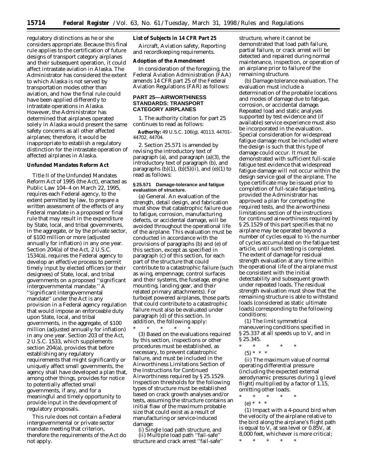regulatory distinctions as he or she considers appropriate. Because this final rule applies to the certification of future designs of transport category airplanes and their subsequent operation, it could affect intrastate aviation in Alaska. The Administrator has considered the extent to which Alaska is not served by transportation modes other than aviation, and how the final rule could have been applied differently to intrastate operations in Alaska. However, the Administrator has determined that airplanes operated solely in Alaska would present the same safety concerns as all other affected airplanes; therefore, it would be inappropriate to establish a regulatory distinction for the intrastate operation of affected airplanes in Alaska.

# **Unfunded Mandates Reform Act**

Title II of the Unfunded Mandates Reform Act of 1995 (the Act), enacted as Public Law 104–4 on March 22, 1995, requires each Federal agency, to the extent permitted by law, to prepare a written assessment of the effects of any Federal mandate in a proposed or final rule that may result in the expenditure by State, local, and tribal governments, in the aggregate, or by the private sector, of \$100 million or more (adjusted annually for inflation) in any one year. Section 204(a) of the Act, 2 U.S.C. 1534(a), requires the Federal agency to develop an effective process to permit timely input by elected officers (or their designees) of State, local, and tribal governments on a proposed ''significant intergovernmental mandate.'' A ''significant intergovernmental mandate'' under the Act is any provision in a Federal agency regulation that would impose an enforceable duty upon State, local, and tribal governments, in the aggregate, of \$100 million (adjusted annually for inflation) in any one year. Section 203 of the Act, 2 U.S.C. 1533, which supplements section 204(a), provides that before establishing any regulatory requirements that might significantly or uniquely affect small governments, the agency shall have developed a plan that, among other things, provides for notice to potentially affected small governments, if any, and for a meaningful and timely opportunity to provide input in the development of regulatory proposals.

This rule does not contain a Federal intergovernmental or private sector mandate meeting that criterion, therefore the requirements of the Act do not apply.

## **List of Subjects in 14 CFR Part 25**

Aircraft, Aviation safety, Reporting and recordkeeping requirements.

# **Adoption of the Amendment**

In consideration of the foregoing, the Federal Aviation Administration (FAA) amends 14 CFR part 25 of the Federal Aviation Regulations (FAR) as follows:

# **PART 25—AIRWORTHINESS STANDARDS: TRANSPORT CATEGORY AIRPLANES**

1. The authority citation for part 25 continues to read as follows:

**Authority:** 49 U.S.C. 106(g), 40113, 44701– 44702, 44704.

2. Section 25.571 is amended by revising the introductory text of paragraph (a), and paragraph (a)(3), the introductory text of paragraph (b), and paragraphs  $(b)(1)$ ,  $(b)(5)(ii)$ , and  $(e)(1)$  to read as follows:

## **§ 25.571 Damage-tolerance and fatigue evaluation of structure.**

(a) *General.* An evaluation of the strength, detail design, and fabrication must show that catastrophic failure due to fatigue, corrosion, manufacturing defects, or accidental damage, will be avoided throughout the operational life of the airplane. This evaluation must be conducted in accordance with the provisions of paragraphs (b) and (e) of this section, except as specified in paragraph (c) of this section, for each part of the structure that could contribute to a catastrophic failure (such as wing, empennage, control surfaces and their systems, the fuselage, engine mounting, landing gear, and their related primary attachments). For turbojet powered airplanes, those parts that could contribute to a catastrophic failure must also be evaluated under paragraph (d) of this section. In addition, the following apply:

\* \* \* \* \* (3) Based on the evaluations required by this section, inspections or other procedures must be established, as necessary, to prevent catastrophic failure, and must be included in the Airworthiness Limitations Section of the Instructions for Continued Airworthiness required by § 25.1529. Inspection thresholds for the following types of structure must be established based on crack growth analyses and/or tests, assuming the structure contains an initial flaw of the maximum probable size that could exist as a result of manufacturing or service-induced damage:

(i) Single load path structure, and (ii) Multiple load path ''fail-safe'' structure and crack arrest ''fail-safe'' structure, where it cannot be demonstrated that load path failure, partial failure, or crack arrest will be detected and repaired during normal maintenance, inspection, or operation of an airplane prior to failure of the remaining structure.

(b) *Damage-tolerance evaluation.* The evaluation must include a determination of the probable locations and modes of damage due to fatigue, corrosion, or accidental damage. Repeated load and static analyses supported by test evidence and (if available) service experience must also be incorporated in the evaluation. Special consideration for widespread fatigue damage must be included where the design is such that this type of damage could occur. It must be demonstrated with sufficient full-scale fatigue test evidence that widespread fatigue damage will not occur within the design service goal of the airplane. The type certificate may be issued prior to completion of full-scale fatigue testing, provided the Administrator has approved a plan for competing the required tests, and the airworthiness limitations section of the instructions for continued airworthiness required by § 25.1529 of this part specifies that no airplane may be operated beyond a number of cycles equal to 1⁄2 the number of cycles accumulated on the fatigue test article, until such testing is completed. The extent of damage for residual strength evaluation at any time within the operational life of the airplane must be consistent with the initial detectability and subsequent growth under repeated loads. The residual strength evaluation must show that the remaining structure is able to withstand loads (considered as static ultimate loads) corresponding to the following conditions:

(1) The limit symmetrical maneuvering conditions specified in § 25.337 at all speeds up to  $V_c$  and in § 25.345.

\* \* \* \* \*

 $(5) * * * *$ (ii) The maximum value of normal operating differential pressure (including the expected external aerodynamic pressures during 1 g level flight) multiplied by a factor of 1.15, omitting other loads.

\* \* \* \* \*

(e) \* \* \* (1) Impact with a 4-pound bird when the velocity of the airplane relative to the bird along the airplane's flight path is equal to  $V_c$  at sea level or  $0.85V_c$  at 8,000 feet, whichever is more critical;

\* \* \* \* \*